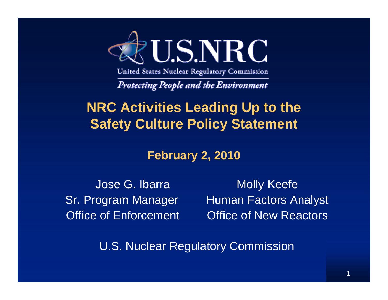

United States Nuclear Regulatory Commission

**Protecting People and the Environment** 

#### **NRC Activities Leading Up to the Safety Culture Policy Statement**

#### **February 2, 2010**

Jose G. Ibarra Molly Keefe Sr. Program Manager Human Factors Analyst Office of Enforcement Coffice of New Reactors

U.S. Nuclear Regulatory Commission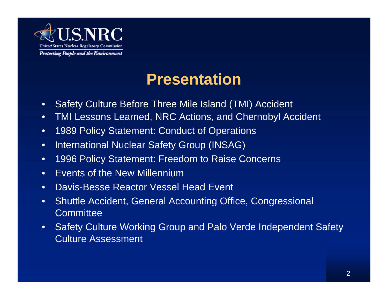

#### **Presentation**

- •Safety Culture Before Three Mile Island (TMI) Accident
- $\bullet$ TMI Lessons Learned, NRC Actions, and Chernobyl Accident
- $\bullet$ 1989 Policy Statement: Conduct of Operations
- $\bullet$ International Nuclear Safety Group (INSAG)
- •1996 Policy Statement: Freedom to Raise Concerns
- •**Events of the New Millennium**
- •Davis-Besse Reactor Vessel Head Event
- • Shuttle Accident, General Accounting Office, Congressional **Committee**
- $\bullet$  Safety Culture Working Group and Palo Verde Independent Safety Culture Assessment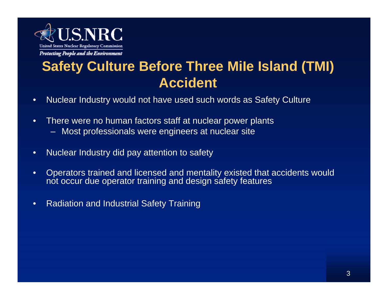

#### **Safety Culture Before Three MiIe Island (TMI) Accident**

- •Nuclear Industry would not have used such words as Safety Culture
- • There were no human factors staff at nuclear power plants
	- Most professionals were engineers at nuclear site
- •Nuclear Industry did pay attention to safety
- • Operators trained and licensed and mentality existed that accidents would not occur due operator training and design safety features
- •Radiation and Industrial Safety Training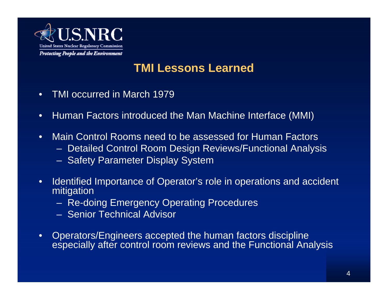

#### **TMI Lessons Learned**

- •TMI occurred in March 1979
- •Human Factors introduced the Man Machine Interface (MMI)
- • Main Control Rooms need to be assessed for Human Factors
	- Detailed Control Room Design Reviews/Functional Analysis
	- Safety Parameter Display System
- • Identified Importance of Operator's role in operations and accident mitigation
	- Re-doing Emergency Operating Procedures
	- Senior Technical Advisor
- $\bullet$  Operators/Engineers accepted the human factors discipline especially after control room reviews and the Functional Analysis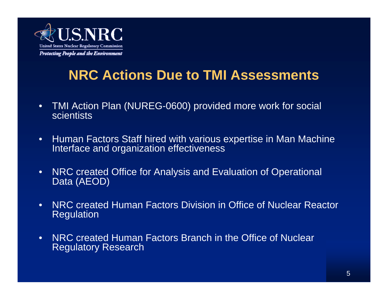

#### **NRC Actions Due to TMI Assessments**

- $\bullet$  TMI Action Plan (NUREG-0600) provided more work for social scientists
- $\bullet$ Human Factors Staff hired with various expertise in Man Machine Interface and organization effectiveness
- $\bullet$  NRC created Office for Analysis and Evaluation of Operational Data (AEOD)
- • NRC created Human Factors Division in Office of Nuclear Reactor Regulation
- • NRC created Human Factors Branch in the Office of Nuclear Regulatory Research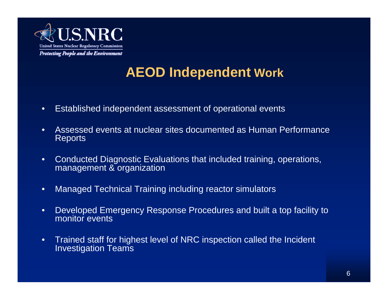

#### **AEOD Independent Work**

- •Established independent assessment of operational events
- • Assessed events at nuclear sites documented as Human PerformanceReports
- • Conducted Diagnostic Evaluations that included training, operations, management & organization
- •Managed Technical Training including reactor simulators
- $\bullet$  Developed Emergency Response Procedures and built a top facility to monitor events
- • Trained staff for highest level of NRC inspection called the Incident Investigation Teams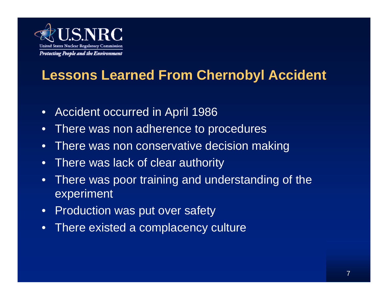

#### **Lessons Learned From Chernobyl Accident**

- •Accident occurred in April 1986
- $\bullet$ There was non adherence to procedures
- •There was non conservative decision making
- •There was lack of clear authority
- • There was poor training and understanding of the experiment
- $\bullet$ Production was put over safety
- •There existed a complacency culture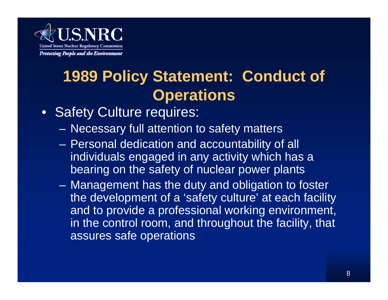

## **1989 Policy Statement: Conduct of Operations**

- Safety Culture requires:
	- Necessary full attention to safety matters
	- Personal dedication and accountability of all individuals engaged in any activity which has a bearing on the safety of nuclear power plants
	- Management has the duty and obligation to foster the development of a 'safety culture' at each facility and to provide a professional working environment, in the control room, and throughout the facility, that assures safe operations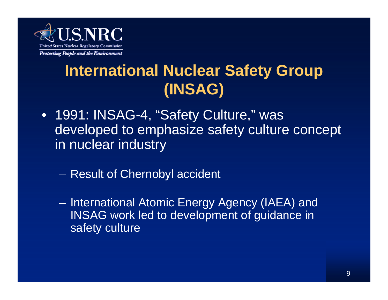

## **International Nuclear Safety Group (INSAG)**

- 1991: INSAG-4, "Safety Culture," was developed to emphasize safety culture concept in nuclear industry
	- Result of Chernobyl accident
	- International Atomic Energy Agency (IAEA) and INSAG work led to development of guidance in safety culture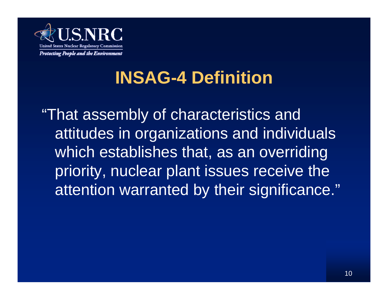

# **INSAG-4 Definition**

"That assembly of characteristics and attitudes in organizations and individuals which establishes that, as an overriding priority, nuclear plant issues receive the attention warranted by their significance."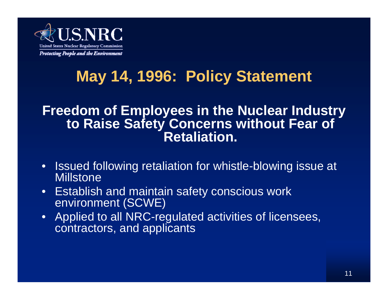

## **May 14, 1996: Policy Statement**

#### **Freedom of Employees in the Nuclear Industry to Raise Safety Concerns without Fear of Retaliation.**

- • Issued following retaliation for whistle-blowing issue at **Millstone**
- • Establish and maintain safety conscious work environment (SCWE)
- • Applied to all NRC-regulated activities of licensees, contractors, and applicants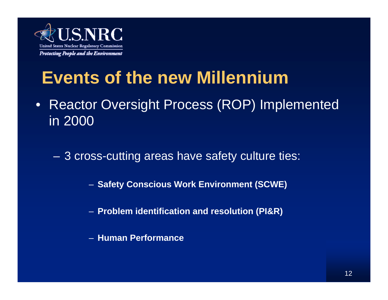

# **Events of the new Millennium**

• Reactor Oversight Process (ROP) Implemented in 2000

3 cross-cutting areas have safety culture ties:

– **Safety Conscious Work Environment (SCWE)**

- **Problem identification and resolution (PI&R)**
- **Human Performance**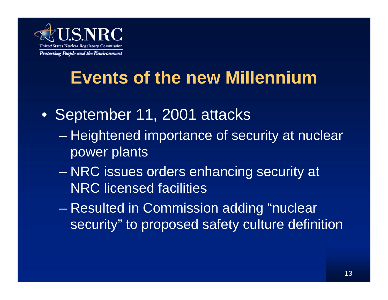

# **Events of the new Millennium**

- September 11, 2001 attacks
	- Heightened importance of security at nuclear power plants
	- NRC issues orders enhancing security at NRC licensed facilities
	- Resulted in Commission adding "nuclear security" to proposed safety culture definition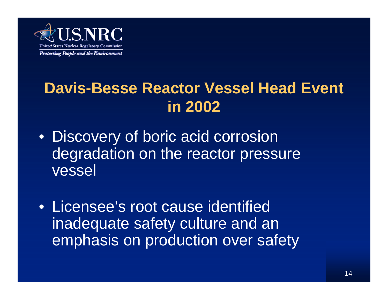

### **Davis-Besse Reactor Vessel Head Event in 2002**

- Discovery of boric acid corrosion degradation on the reactor pressure vessel
- Licensee's root cause identified inadequate safety culture and an emphasis on production over safety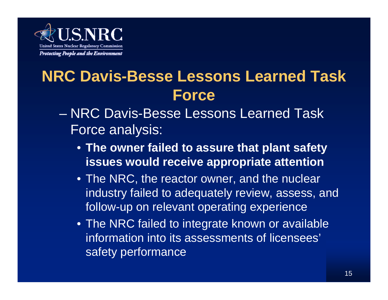

### **NRC Davis-Besse Lessons Learned Task Force**

- NRC Davis-Besse Lessons Learned Task Force analysis:
	- **The owner failed to assure that plant safety issues would receive appropriate attention**
	- The NRC, the reactor owner, and the nuclear industry failed to adequately review, assess, and follow-up on relevant operating experience
	- The NRC failed to integrate known or available information into its assessments of licensees' safety performance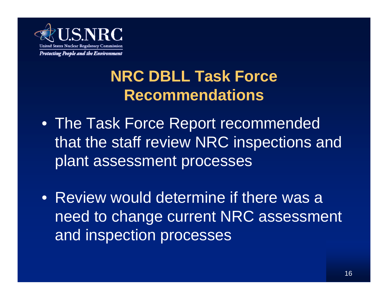

### **NRC DBLL Task Force Recommendations**

- The Task Force Report recommended that the staff review NRC inspections and plant assessment processes
- Review would determine if there was a need to change current NRC assessment and inspection processes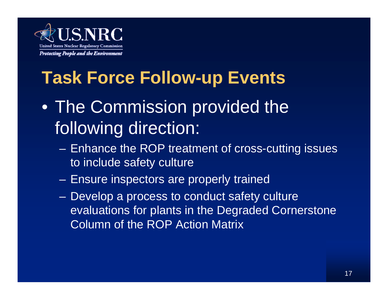

# **Task Force Follow-up Events**

- The Commission provided the following direction:
	- Enhance the ROP treatment of cross-cutting issues to include safety culture
	- Ensure inspectors are properly trained
	- Develop a process to conduct safety culture evaluations for plants in the Degraded Cornerstone Column of the ROP Action Matrix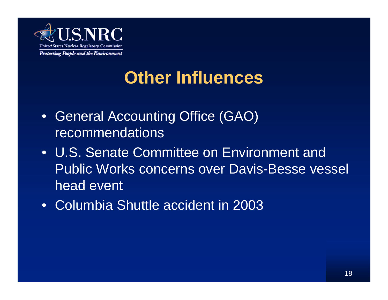

# **Other Influences**

- General Accounting Office (GAO) recommendations
- U.S. Senate Committee on Environment and Public Works concerns over Davis-Besse vessel head event
- Columbia Shuttle accident in 2003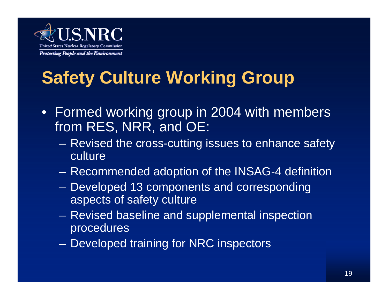

# **Safety Culture Working Group**

- Formed working group in 2004 with members from RES, NRR, and OE:
	- Revised the cross-cutting issues to enhance safety culture
	- Recommended adoption of the INSAG-4 definition
	- Developed 13 components and corresponding aspects of safety culture
	- Revised baseline and supplemental inspection procedures
	- $\mathcal{L}_{\mathcal{A}}$ Developed training for NRC inspectors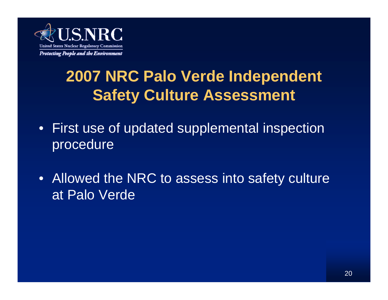

## **2007 NRC Palo Verde Independent Safety Culture Assessment**

- First use of updated supplemental inspection procedure
- Allowed the NRC to assess into safety culture at Palo Verde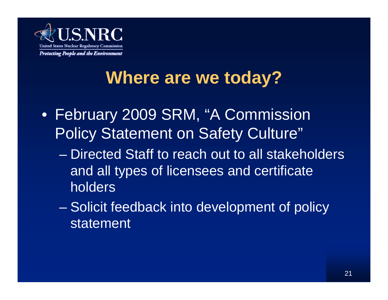

# **Where are we today?**

- February 2009 SRM, "A Commission Policy Statement on Safety Culture"
	- Directed Staff to reach out to all stakeholders and all types of licensees and certificate holders
	- Solicit feedback into development of policy statement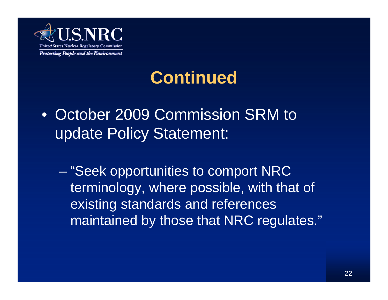

# **Continued**

- October 2009 Commission SRM to update Policy Statement:
	- "Seek opportunities to comport NRC terminology, where possible, with that of existing standards and references maintained by those that NRC regulates."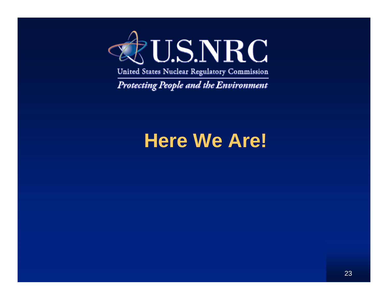

United States Nuclear Regulatory Commission

Protecting People and the Environment

# **Here We Are!**